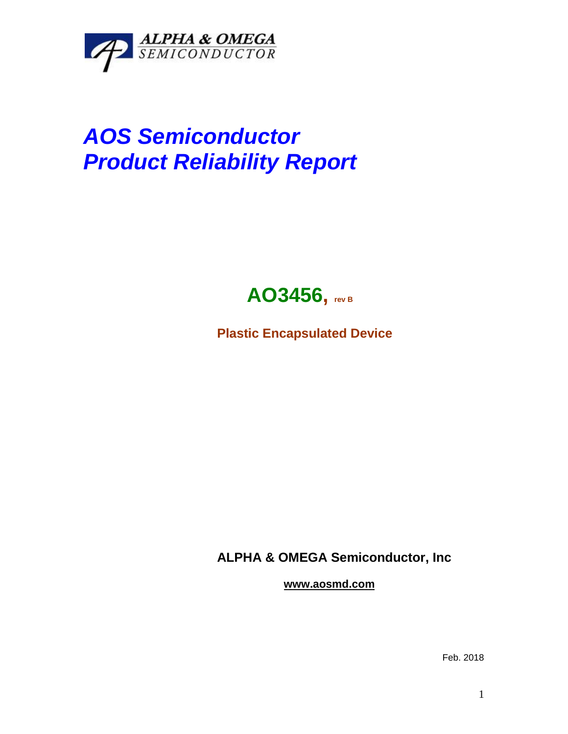

## *AOS Semiconductor Product Reliability Report*



**Plastic Encapsulated Device**

**ALPHA & OMEGA Semiconductor, Inc**

**www.aosmd.com**

Feb. 2018